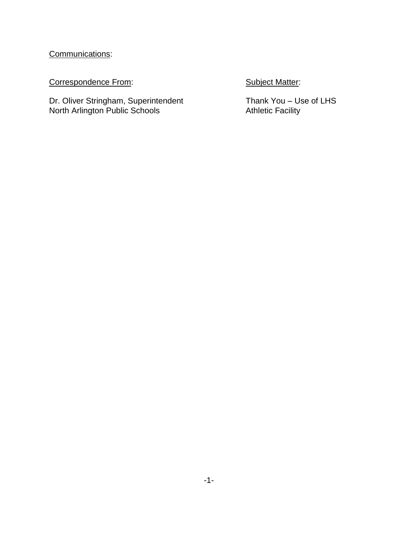Communications:

Correspondence From: Subject Matter:

Dr. Oliver Stringham, Superintendent Thank You – Use of LHS North Arlington Public Schools **Athletic Facility** Athletic Facility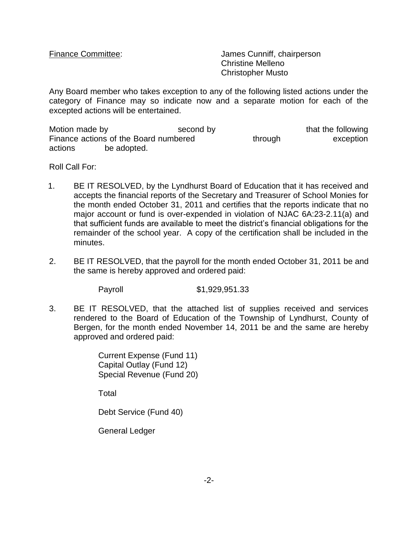Finance Committee: James Cunniff, chairperson Christine Melleno Christopher Musto

Any Board member who takes exception to any of the following listed actions under the category of Finance may so indicate now and a separate motion for each of the excepted actions will be entertained.

Motion made by the second by that the following that the following Finance actions of the Board numbered through through exception actions be adopted.

Roll Call For:

- 1. BE IT RESOLVED, by the Lyndhurst Board of Education that it has received and accepts the financial reports of the Secretary and Treasurer of School Monies for the month ended October 31, 2011 and certifies that the reports indicate that no major account or fund is over-expended in violation of NJAC 6A:23-2.11(a) and that sufficient funds are available to meet the district's financial obligations for the remainder of the school year. A copy of the certification shall be included in the minutes.
- 2. BE IT RESOLVED, that the payroll for the month ended October 31, 2011 be and the same is hereby approved and ordered paid:

Payroll \$1,929,951.33

3. BE IT RESOLVED, that the attached list of supplies received and services rendered to the Board of Education of the Township of Lyndhurst, County of Bergen, for the month ended November 14, 2011 be and the same are hereby approved and ordered paid:

> Current Expense (Fund 11) Capital Outlay (Fund 12) Special Revenue (Fund 20)

Total

Debt Service (Fund 40)

General Ledger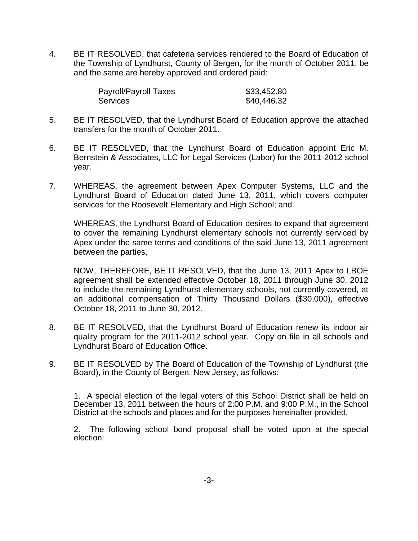4. BE IT RESOLVED, that cafeteria services rendered to the Board of Education of the Township of Lyndhurst, County of Bergen, for the month of October 2011, be and the same are hereby approved and ordered paid:

| <b>Payroll/Payroll Taxes</b> | \$33,452.80 |
|------------------------------|-------------|
| Services                     | \$40,446.32 |

- 5. BE IT RESOLVED, that the Lyndhurst Board of Education approve the attached transfers for the month of October 2011.
- 6. BE IT RESOLVED, that the Lyndhurst Board of Education appoint Eric M. Bernstein & Associates, LLC for Legal Services (Labor) for the 2011-2012 school year.
- 7. WHEREAS, the agreement between Apex Computer Systems, LLC and the Lyndhurst Board of Education dated June 13, 2011, which covers computer services for the Roosevelt Elementary and High School; and

WHEREAS, the Lyndhurst Board of Education desires to expand that agreement to cover the remaining Lyndhurst elementary schools not currently serviced by Apex under the same terms and conditions of the said June 13, 2011 agreement between the parties,

NOW, THEREFORE, BE IT RESOLVED, that the June 13, 2011 Apex to LBOE agreement shall be extended effective October 18, 2011 through June 30, 2012 to include the remaining Lyndhurst elementary schools, not currently covered, at an additional compensation of Thirty Thousand Dollars (\$30,000), effective October 18, 2011 to June 30, 2012.

- 8. BE IT RESOLVED, that the Lyndhurst Board of Education renew its indoor air quality program for the 2011-2012 school year. Copy on file in all schools and Lyndhurst Board of Education Office.
- 9. BE IT RESOLVED by The Board of Education of the Township of Lyndhurst (the Board), in the County of Bergen, New Jersey, as follows:

1. A special election of the legal voters of this School District shall be held on December 13, 2011 between the hours of 2:00 P.M. and 9:00 P.M., in the School District at the schools and places and for the purposes hereinafter provided.

2. The following school bond proposal shall be voted upon at the special election: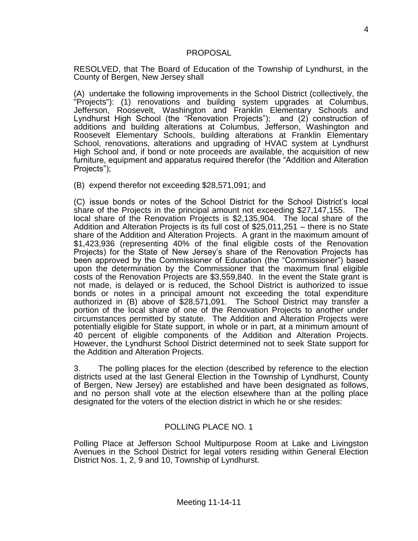### PROPOSAL

RESOLVED, that The Board of Education of the Township of Lyndhurst, in the County of Bergen, New Jersey shall

(A) undertake the following improvements in the School District (collectively, the "Projects"): (1) renovations and building system upgrades at Columbus, Jefferson, Roosevelt, Washington and Franklin Elementary Schools and Lyndhurst High School (the "Renovation Projects"); and (2) construction of additions and building alterations at Columbus, Jefferson, Washington and Roosevelt Elementary Schools, building alterations at Franklin Elementary School, renovations, alterations and upgrading of HVAC system at Lyndhurst High School and, if bond or note proceeds are available, the acquisition of new furniture, equipment and apparatus required therefor (the "Addition and Alteration Projects");

(B) expend therefor not exceeding \$28,571,091; and

(C) issue bonds or notes of the School District for the School District's local share of the Projects in the principal amount not exceeding \$27,147,155. The local share of the Renovation Projects is \$2,135,904. The local share of the Addition and Alteration Projects is its full cost of \$25,011,251 – there is no State share of the Addition and Alteration Projects. A grant in the maximum amount of \$1,423,936 (representing 40% of the final eligible costs of the Renovation Projects) for the State of New Jersey's share of the Renovation Projects has been approved by the Commissioner of Education (the "Commissioner") based upon the determination by the Commissioner that the maximum final eligible costs of the Renovation Projects are \$3,559,840. In the event the State grant is not made, is delayed or is reduced, the School District is authorized to issue bonds or notes in a principal amount not exceeding the total expenditure authorized in (B) above of \$28,571,091. The School District may transfer a portion of the local share of one of the Renovation Projects to another under circumstances permitted by statute. The Addition and Alteration Projects were potentially eligible for State support, in whole or in part, at a minimum amount of 40 percent of eligible components of the Addition and Alteration Projects. However, the Lyndhurst School District determined not to seek State support for the Addition and Alteration Projects.

3. The polling places for the election (described by reference to the election districts used at the last General Election in the Township of Lyndhurst, County of Bergen, New Jersey) are established and have been designated as follows, and no person shall vote at the election elsewhere than at the polling place designated for the voters of the election district in which he or she resides:

## POLLING PLACE NO. 1

Polling Place at Jefferson School Multipurpose Room at Lake and Livingston Avenues in the School District for legal voters residing within General Election District Nos. 1, 2, 9 and 10, Township of Lyndhurst.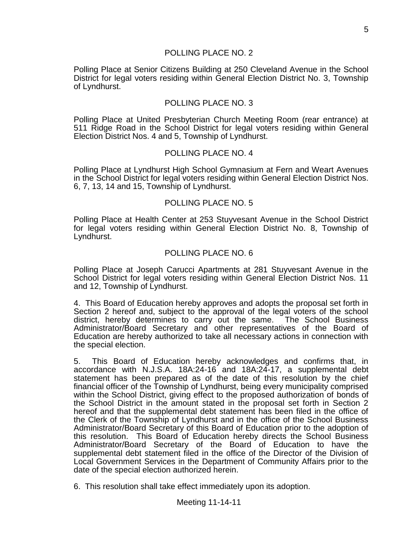#### POLLING PLACE NO. 2

Polling Place at Senior Citizens Building at 250 Cleveland Avenue in the School District for legal voters residing within General Election District No. 3, Township of Lyndhurst.

#### POLLING PLACE NO. 3

Polling Place at United Presbyterian Church Meeting Room (rear entrance) at 511 Ridge Road in the School District for legal voters residing within General Election District Nos. 4 and 5, Township of Lyndhurst.

#### POLLING PLACE NO. 4

Polling Place at Lyndhurst High School Gymnasium at Fern and Weart Avenues in the School District for legal voters residing within General Election District Nos. 6, 7, 13, 14 and 15, Township of Lyndhurst.

#### POLLING PLACE NO. 5

Polling Place at Health Center at 253 Stuyvesant Avenue in the School District for legal voters residing within General Election District No. 8, Township of Lyndhurst.

#### POLLING PLACE NO. 6

Polling Place at Joseph Carucci Apartments at 281 Stuyvesant Avenue in the School District for legal voters residing within General Election District Nos. 11 and 12, Township of Lyndhurst.

4. This Board of Education hereby approves and adopts the proposal set forth in Section 2 hereof and, subject to the approval of the legal voters of the school district, hereby determines to carry out the same. The School Business Administrator/Board Secretary and other representatives of the Board of Education are hereby authorized to take all necessary actions in connection with the special election.

5. This Board of Education hereby acknowledges and confirms that, in accordance with N.J.S.A. 18A:24-16 and 18A:24-17, a supplemental debt statement has been prepared as of the date of this resolution by the chief financial officer of the Township of Lyndhurst, being every municipality comprised within the School District, giving effect to the proposed authorization of bonds of the School District in the amount stated in the proposal set forth in Section 2 hereof and that the supplemental debt statement has been filed in the office of the Clerk of the Township of Lyndhurst and in the office of the School Business Administrator/Board Secretary of this Board of Education prior to the adoption of this resolution. This Board of Education hereby directs the School Business Administrator/Board Secretary of the Board of Education to have the supplemental debt statement filed in the office of the Director of the Division of Local Government Services in the Department of Community Affairs prior to the date of the special election authorized herein.

6. This resolution shall take effect immediately upon its adoption.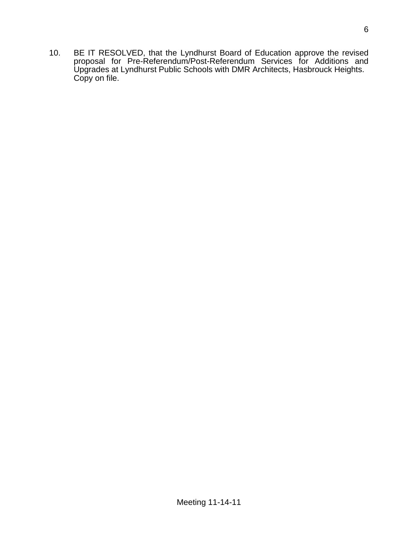10. BE IT RESOLVED, that the Lyndhurst Board of Education approve the revised proposal for Pre-Referendum/Post-Referendum Services for Additions and Upgrades at Lyndhurst Public Schools with DMR Architects, Hasbrouck Heights. Copy on file.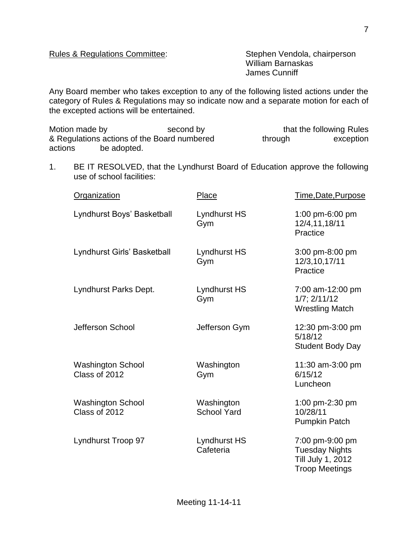## Rules & Regulations Committee: Stephen Vendola, chairperson

William Barnaskas James Cunniff

Any Board member who takes exception to any of the following listed actions under the category of Rules & Regulations may so indicate now and a separate motion for each of the excepted actions will be entertained.

Motion made by second by second by that the following Rules & Regulations actions of the Board numbered through exception actions be adopted.

1. BE IT RESOLVED, that the Lyndhurst Board of Education approve the following use of school facilities:

| <b>Organization</b>                       | Place                            | Time, Date, Purpose                                                                    |
|-------------------------------------------|----------------------------------|----------------------------------------------------------------------------------------|
| Lyndhurst Boys' Basketball                | Lyndhurst HS<br>Gym              | 1:00 pm-6:00 pm<br>12/4,11,18/11<br>Practice                                           |
| Lyndhurst Girls' Basketball               | Lyndhurst HS<br>Gym              | 3:00 pm-8:00 pm<br>12/3,10,17/11<br>Practice                                           |
| Lyndhurst Parks Dept.                     | Lyndhurst HS<br>Gym              | 7:00 am-12:00 pm<br>$1/7$ ; $2/11/12$<br><b>Wrestling Match</b>                        |
| Jefferson School                          | Jefferson Gym                    | 12:30 pm-3:00 pm<br>5/18/12<br><b>Student Body Day</b>                                 |
| <b>Washington School</b><br>Class of 2012 | Washington<br>Gym                | 11:30 am-3:00 pm<br>6/15/12<br>Luncheon                                                |
| <b>Washington School</b><br>Class of 2012 | Washington<br><b>School Yard</b> | 1:00 pm-2:30 pm<br>10/28/11<br><b>Pumpkin Patch</b>                                    |
| Lyndhurst Troop 97                        | <b>Lyndhurst HS</b><br>Cafeteria | 7:00 pm-9:00 pm<br><b>Tuesday Nights</b><br>Till July 1, 2012<br><b>Troop Meetings</b> |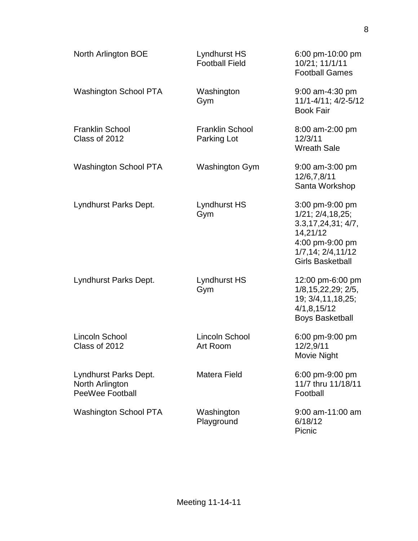| North Arlington BOE                                                | Lyndhurst HS<br><b>Football Field</b> | 6:00 pm-10:00 pm<br>10/21; 11/1/11<br><b>Football Games</b>                                                                                                 |
|--------------------------------------------------------------------|---------------------------------------|-------------------------------------------------------------------------------------------------------------------------------------------------------------|
| <b>Washington School PTA</b>                                       | Washington<br>Gym                     | 9:00 am-4:30 pm<br>11/1-4/11; 4/2-5/12<br><b>Book Fair</b>                                                                                                  |
| <b>Franklin School</b><br>Class of 2012                            | <b>Franklin School</b><br>Parking Lot | 8:00 am-2:00 pm<br>12/3/11<br><b>Wreath Sale</b>                                                                                                            |
| Washington School PTA                                              | <b>Washington Gym</b>                 | $9:00$ am-3:00 pm<br>12/6,7,8/11<br>Santa Workshop                                                                                                          |
| Lyndhurst Parks Dept.                                              | Lyndhurst HS<br>Gym                   | 3:00 pm-9:00 pm<br>$1/21$ ; $2/4$ , $18$ , $25$ ;<br>3.3, 17, 24, 31; 4/7,<br>14,21/12<br>4:00 pm-9:00 pm<br>1/7, 14; 2/4, 11/12<br><b>Girls Basketball</b> |
| Lyndhurst Parks Dept.                                              | Lyndhurst HS<br>Gym                   | 12:00 pm-6:00 pm<br>1/8, 15, 22, 29; 2/5,<br>19; 3/4, 11, 18, 25;<br>4/1, 8, 15/12<br><b>Boys Basketball</b>                                                |
| Lincoln School<br>Class of 2012                                    | <b>Lincoln School</b><br>Art Room     | 6:00 pm-9:00 pm<br>12/2,9/11<br>Movie Night                                                                                                                 |
| Lyndhurst Parks Dept.<br>North Arlington<br><b>PeeWee Football</b> | Matera Field                          | 6:00 pm-9:00 pm<br>11/7 thru 11/18/11<br>Football                                                                                                           |
| <b>Washington School PTA</b>                                       | Washington<br>Playground              | $9:00$ am-11:00 am<br>6/18/12<br>Picnic                                                                                                                     |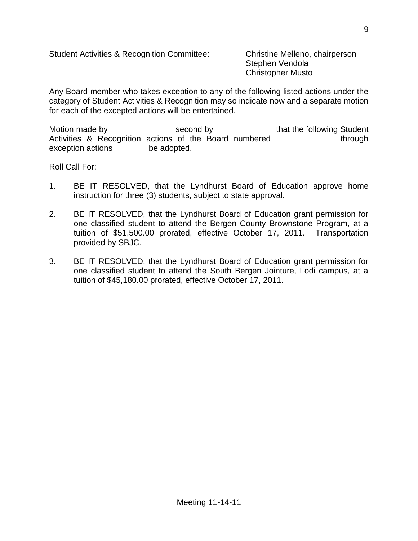## Student Activities & Recognition Committee: Christine Melleno, chairperson

Stephen Vendola Christopher Musto

Any Board member who takes exception to any of the following listed actions under the category of Student Activities & Recognition may so indicate now and a separate motion for each of the excepted actions will be entertained.

Motion made by The Second by that the following Student Activities & Recognition actions of the Board numbered through exception actions be adopted.

Roll Call For:

- 1. BE IT RESOLVED, that the Lyndhurst Board of Education approve home instruction for three (3) students, subject to state approval.
- 2. BE IT RESOLVED, that the Lyndhurst Board of Education grant permission for one classified student to attend the Bergen County Brownstone Program, at a tuition of \$51,500.00 prorated, effective October 17, 2011. Transportation provided by SBJC.
- 3. BE IT RESOLVED, that the Lyndhurst Board of Education grant permission for one classified student to attend the South Bergen Jointure, Lodi campus, at a tuition of \$45,180.00 prorated, effective October 17, 2011.